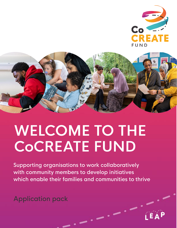



# **WELCOME TO THE COCREATE FUND**

Supporting organisations to work collaboratively with community members to develop initiatives which enable their families and communities to thrive

**Application pack**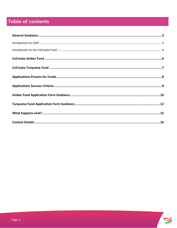# Table of contents

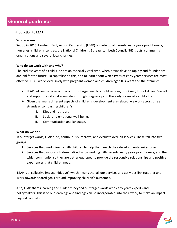## <span id="page-2-0"></span>**General guidance**

#### **Introduction to LEAP**

#### **Who are we?**

Set up in 2015, Lambeth Early Action Partnership (LEAP) is made up of parents, early years practitioners, nurseries, children's centres, the National Children's Bureau, Lambeth Council, NHS trusts, community organisations and several local charities.

#### **Who do we work with and why?**

The earliest years of a child's life are an especially vital time, when brains develop rapidly and foundations are laid for the future. To capitalise on this, and to learn about which types of early years services are most effective, LEAP works exclusively with pregnant women and children aged 0-3 years and their families.

- $\triangleright$  LEAP delivers services across our four target wards of Coldharbour, Stockwell, Tulse Hill, and Vassall and support families at every step through pregnancy and the early stages of a child's life.
- $\triangleright$  Given that many different aspects of children's development are related, we work across three strands encompassing children's:
	- I. Diet and nutrition,
	- II. Social and emotional well-being,
	- III. Communication and language.

#### **What do we do?**

In our target wards, LEAP fund, continuously improve, and evaluate over 20 services. These fall into two groups:

- 1. Services that work directly with children to help them reach their developmental milestones.
- 2. Services that support children indirectly, by working with parents, early years practitioners, and the wider community, so they are better equipped to provide the responsive relationships and positive experiences that children need.

LEAP is a 'collective impact initiative', which means that all our services and activities link together and work towards shared goals around improving children's outcomes.

<span id="page-2-1"></span>Also, LEAP shares learning and evidence beyond our target wards with early years experts and policymakers. This is so our learnings and findings can be incorporated into their work, to make an impact beyond Lambeth.

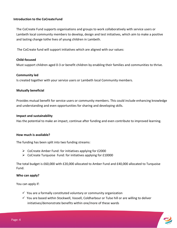#### **Introduction to the CoCreate Fund**

The CoCreate Fund supports organisations and groups to work collaboratively with service users or Lambeth local community members to develop, design and test initiatives, which aim to make a positive and lasting change tothe lives of young children in Lambeth.

The CoCreate fund will support initiatives which are aligned with our values:

#### **Child-focused**

Must support children aged 0-3 or benefit children by enabling their families and communities to thrive.

#### **Community led**

Is created together with your service users or Lambeth local Community members.

#### **Mutually beneficial**

Provides mutual benefit for service users or community members. This could include enhancing knowledge and understanding and even opportunities for sharing and developing skills.

#### **Impact and sustainability**

Has the potential to make an impact, continue after funding and even contribute to improved learning.

#### **How much is available?**

The funding has been split into two funding streams:

- ➢ CoCreate Amber Fund: for initiatives applying for £2000
- ➢ CoCreate Turquoise Fund: for initiatives applying for £10000

The total budget is £60,000 with £20,000 allocated to Amber Fund and £40,000 allocated to Turquoise Fund.

#### **Who can apply?**

You can apply if:

- $\checkmark$  You are a formally constituted voluntary or community organization
- $\checkmark$  You are based within Stockwell, Vassell, Coldharbour or Tulse hill or are willing to deliver initiatives/demonstrate benefits within one/more of these wards

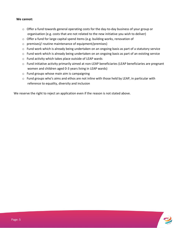#### **We cannot:**

- o Offer a fund towards general operating costs for the day-to-day business of your group or organisation (e.g. costs that are not related to the new initiative you wish to deliver)
- o Offer a fund for large capital spend items (e.g. building works, renovation of
- o premises)/ routine maintenance of equipment/premises)
- o Fund work which is already being undertaken on an ongoing basis as part of a statutory service
- o Fund work which is already being undertaken on an ongoing basis as part of an existing service
- o Fund activity which takes place outside of LEAP wards
- o Fund initiative activity primarily aimed at non-LEAP beneficiaries (LEAP beneficiaries are pregnant women and children aged 0-3 years living in LEAP wards)
- o Fund groups whose main aim is campaigning
- o Fund groups who's aims and ethos are not inline with those held by LEAP, in particular with reference to equality, diversity and inclusion

We reserve the right to reject an application even if the reason is not stated above.

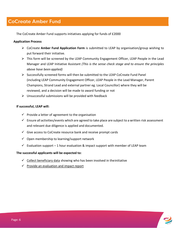## **CoCreate Amber Fund**

The CoCreate Amber Fund supports initiatives applying for funds of £2000

#### **Application Process**

- ➢ CoCreate **Amber Fund Application Form** is submitted to LEAP by organisation/group wishing to put forward their initiative.
- $\triangleright$  This form will be screened by the LEAP Community Engagement Officer, LEAP People in the Lead Manager and LEAP Initiative Assistant *(This is the sense check stage and to ensure the principles above have been applied)*
- ➢ Successfully screened forms will then be submitted to the LEAP CoCreate Fund Panel (including LEAP Community Engagement Officer, LEAP People in the Lead Manager, Parent Champions, Strand Lead and external partner eg. Local Councillor) where they will be reviewed, and a decision will be made to award funding or not
- $\triangleright$  Unsuccessful submissions will be provided with feedback

#### **If successful, LEAP will:**

- $\checkmark$  Provide a letter of agreement to the organisation
- $\checkmark$  Ensure all activities/events which are agreed to take place are subject to a written risk assessment and relevant due diligence is applied and documented.
- $\checkmark$  Give access to CoCreate resource bank and receive prompt cards
- $\checkmark$  Open membership to learning/support network
- $\checkmark$  Evaluation support 1 hour evaluation & impact support with member of LEAP team

#### **The successful applicants will be expected to:**

- $\checkmark$  Collect beneficiary data showing who has been involved in the initiative
- ✓ Provide an evaluation and impact report

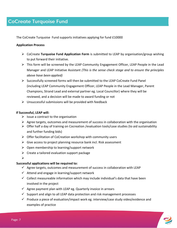## **CoCreate Turquoise Fund**

The CoCreate Turquoise Fund supports initiatives applying for fund £10000

#### **Application Process**

- ➢ CoCreate **Turquoise Fund Application Form** is submitted to LEAP by organisation/group wishing to put forward their initiative.
- ➢ This form will be screened by the LEAP Community Engagement Officer, LEAP People in the Lead Manager and LEAP Initiative Assistant *(This is the sense check stage and to ensure the principles above have been applied)*
- ➢ Successfully screened forms will then be submitted to the LEAP CoCreate Fund Panel (including LEAP Community Engagement Officer, LEAP People in the Lead Manager, Parent Champions, Strand Lead and external partner eg. Local Councillor) where they will be reviewed, and a decision will be made to award funding or not
- $\triangleright$  Unsuccessful submissions will be provided with feedback

#### **If Successful, LEAP will:**

- $\triangleright$  Issue a contract to the organisation
- $\triangleright$  Agree targets, outcomes and measurement of success in collaboration with the organisation
- $\triangleright$  Offer half a day of training on Cocreation /evaluation tools/case studies (to aid sustainability and further funding bids)
- ➢ Offer facilitation of CoCreation workshop with community users
- ➢ Give access to project planning resource bank incl. Risk assessment
- $\triangleright$  Open membership to learning/support network
- $\triangleright$  Create a tailored evaluation support package
- ➢

#### **Successful applications will be required to:**

- $\checkmark$  Agree targets, outcomes and measurement of success in collaboration with LEAP
- $\checkmark$  Attend and engage in learning/support network
- $\checkmark$  Collect measureable information which may include individual's data that have been involved in the project
- $\checkmark$  Agree payment plan with LEAP eg. Quarterly invoice in arrears
- $\checkmark$  Support and align to all LEAP data protection and risk management processes
- $\checkmark$  Produce a piece of evaluation/impact work eg. interview/case study video/evidence and examples of practice

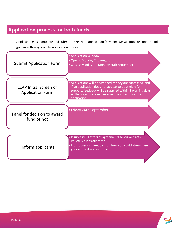# Application process for both funds

Applicants must complete and submit the relevant application form and we will provide support and guidance throughout the application process:

| <b>Submit Application Form</b>                           | • Application Window:<br>• Opens: Monday 2nd August<br>· Closes: Midday on Monday 20th September                                                                                                                                                  |
|----------------------------------------------------------|---------------------------------------------------------------------------------------------------------------------------------------------------------------------------------------------------------------------------------------------------|
| <b>LEAP Initial Screen of</b><br><b>Application Form</b> | Applications will be screened as they are submitted and<br>if an application does not appear to be eligible for<br>support, feedback will be supplied within 3 working days<br>so that organisations can amend and resubmit their<br>application. |
| Panel for decision to award<br>fund or not               | • Friday 24th September                                                                                                                                                                                                                           |
| Inform applicants                                        | . If succesful: Letters of agreements sent/Contracts<br>issued & funds allocated<br>If unsuccessful: feedback on how you could strengthen<br>your application next time.                                                                          |

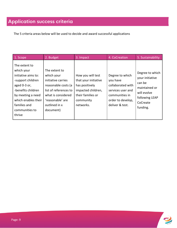The 5 criteria areas below will be used to decide and award successful applications

| $-1.$ Scope                                                                                                                                                                                           | 2. Budget                                                                                                                                                                 | 3. Impact                                                                                                                        | 4. CoCreation                                                                                                                   | 5. Sustainability                                                                                                      |
|-------------------------------------------------------------------------------------------------------------------------------------------------------------------------------------------------------|---------------------------------------------------------------------------------------------------------------------------------------------------------------------------|----------------------------------------------------------------------------------------------------------------------------------|---------------------------------------------------------------------------------------------------------------------------------|------------------------------------------------------------------------------------------------------------------------|
| The extent to<br>which your<br>initiative aims to:<br>-support children<br>aged 0-3 or,<br>-benefits children<br>by meeting a need<br>which enables their<br>families and<br>communities to<br>thrive | The extent to<br>which your<br>initiative carries<br>reasonable costs (a<br>list of references to<br>what is considered<br>'reasonable' are<br>outlined in x<br>document) | How you will test<br>that your initiative<br>has positively<br>impacted children,<br>their families or<br>community<br>networks. | Degree to which<br>you have<br>collaborated with<br>services user and<br>communities in<br>order to develop,<br>deliver & test. | Degree to which<br>your initiative<br>can be<br>maintained or<br>will evolve<br>following LEAP<br>CoCreate<br>funding. |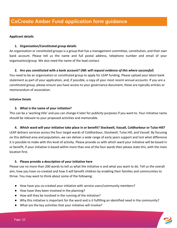## **CoCreate Amber Fund application form guidance**

#### **Applicant details**

#### **1. Organisation/Constituted group details**

An organisation or constituted groups is a group that has a management committee, constitution, and their own bank account. Please tell us the name and full postal address, telephone number and email of your organisation/group. We also need the name of the lead contact.

#### **2. Are you constituted with a bank account? (***NB: will request evidence of this where successful***)**

You need to be an organisation or constituted group to apply for LEAP funding. Please upload your latest bank statement as part of your application, and, if possible, a copy of your most recent annual accounts. If you are a constituted group, please ensure you have access to your governance document, these are typically articles or memorandum of association.

#### **Initiative Details**

#### **3. What is the name of your initiative?**

This can be a 'working title' and you can change it later for publicity purposes if you want to. Your initiative name should be relevant to your proposed activities and memorable.

#### **4. Which ward will your initiative take place in or benefit? Stockwell, Vassall, Coldharbour or Tulse Hill?**

LEAP delivers services across the four target wards of Coldharbour, Stockwell, Tulse Hill, and Vassall. By focusing on this defined area and population, we can deliver a wide range of early years support and test what difference it is possible to make with this level of activity. Please provide us with which ward your initiative will be based in or benefit, if your initiative is based within more than one of the four wards then please state this, with the main location first.

#### **5. Please provide a description of your initiative here**

Please use no more than 200 words to tell us what the initiative is and what you want to do. Tell us the overall aim, how you have co-created and how it will benefit children by enabling their families and communities to thrive. You may want to think about some of the following:

- How have you co-created your initiative with service users/community members?
- How have they been involved in the planning?
- How will they be involved in the running of the initiative?
- Why this initiative is important for the ward and is it fulfilling an identified need in the community?
- What are the key activities that your initiative will involve?

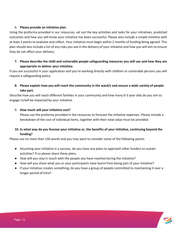#### 6. **Please provide an initiative plan**

Using the proforma provided in our resources, set out the key activities and tasks for your initiatives, predicted outcomes and how you will know your initiative has been successful. Please also include a simple timeline with at least 2 points to evaluate and reflect. Your initiative must begin within 2 months of funding being agreed. This plan should also include a list of any risks you see in the delivery of your initiative and how you will aim to ensure they do not affect your delivery.

#### **7. Please describe the child and vulnerable people safeguarding measures you will use and how they are appropriate to deliver your initiative.**

If you are successful in your application and you're working directly with children or vulnerable persons you will require a safeguarding policy.

**8. Please explain how you will reach the community in the ward/s and ensure a wide variety of people take part.**

Describe how you will reach different families in your community and how many 0-3 year olds do you aim to engage in/will be impacted by your initiative.

#### 9. **How much will your initiative cost?**

Please use the proforma provided in the resources to forecast the initiative expenses. Please include a breakdown of the cost of individual items, together with their total value must be provided.

#### **10. In what way do you foresee your initiative or, the benefits of your initiative, continuing beyond the funding?**

Please use no more than 150 words and you may want to consider some of the following points:

- Assuming your initiative is a success, do you have any plans to approach other funders to sustain activities? If so please share these plans.
- How will you stay in touch with the people you have reached during the initiative?
- How will you share what you or your participants have learnt from being part of your initiative?
- If your initiative creates something, do you have a group of people committed to maintaining it over a longer period of time?

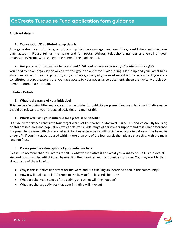#### **Applicant details**

#### **1. Organisation/Constituted group details**

An organisation or constituted groups is a group that has a management committee, constitution, and their own bank account. Please tell us the name and full postal address, teleephone number and email of your organisation/group. We also need the name of the lead contact.

#### **2. Are you constituted with a bank account? (***NB: will request evidence of this where successful***)**

You need to be an organisation or constituted group to apply for LEAP funding. Please upload your latest bank statement as part of your application, and, if possible, a copy of your most recent annual accounts. If you are a constituted group, please ensure you have access to your governance document, these are typically articles or memorandum of association.

#### **Initiative Details**

#### **3. What is the name of your initiative?**

This can be a 'working title' and you can change it later for publicity purposes if you want to. Your initiative name should be relevant to your proposed activities and memorable.

#### **4. Which ward will your initiative take place in or benefit?**

LEAP delivers services across the four target wards of Coldharbour, Stockwell, Tulse Hill, and Vassall. By focusing on this defined area and population, we can deliver a wide range of early years support and test what difference it is possible to make with this level of activity. Please provide us with which ward your initiative will be based in or benefit, if your initiative is based within more than one of the four wards then please state this, with the main location first..

#### **5. Please provide a description of your initiative here**

Please use no more than 200 words to tell us what the initiative is and what you want to do. Tell us the overall aim and how it will benefit children by enabling their families and communities to thrive. You may want to think about some of the following:

- Why is this initiative important for the ward and is it fulfilling an identified need in the community?
- How it will make a real difference to the lives of families and children?
- What are the main stages of the activity and when will they happen?
- What are the key activities that your initiative will involve?

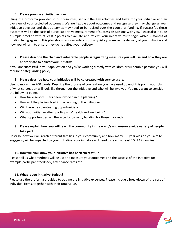#### 6. **Please provide an initiative plan**

Using the proforma provided in our resources, set out the key activities and tasks for your initiative and an overview of your projected outcomes. We are flexible about outcomes and recognise they may change as your initiative develops and that outcomes may need to be revised over the course of funding. If successful, these outcomes will be the basis of our collaborative measurement of success discussions with you. Please also include a simple timeline with at least 2 points to evaluate and reflect. Your initiative must begin within 2 months of funding being agreed. This plan should also include a list of any risks you see in the delivery of your initiative and how you will aim to ensure they do not affect your delivery.

#### **7. Please describe the child and vulnerable people safeguarding measures you will use and how they are appropriate to deliver your initiative.**

If you are successful in your application and you're working directly with children or vulnerable persons you will require a safeguarding policy.

#### 8. **Please describe how your initiative will be co-created with service users**.

Use no more than 200 words. Describe the process of co-creation you have used up until this point, your plan of what co-creation will look like throughout the initiative and who will be involved. You may want to consider the following points:

- How have service users been involved in the planning?
- How will they be involved in the running of the initiative?
- Will there be volunteering opportunities?
- Will your initiative affect participants' health and wellbeing?
- What opportunities will there be for capacity building for those involved?

#### **9. Please explain how you will reach the community in the ward/s and ensure a wide variety of people take part.**

Describe how you will reach different families in your community and how many 0-3 year olds do you aim to engage in/will be impacted by your initiative. Your initiative will need to reach at least 10 LEAP families.

#### **10. How will you know your initiative has been successful?**

Please tell us what methods will be used to measure your outcomes and the success of the initiative for example participant feedback, attendance rates etc.

#### **11. What is you initiative Budget?**

Please use the proforma provided to outline the initiative expenses. Please include a breakdown of the cost of individual items, together with their total value.

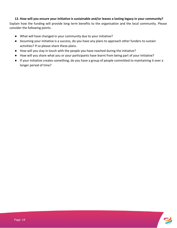#### **12. How will you ensure your initiative is sustainable and/or leaves a lasting legacy in your community?**

Explain how the funding will provide long term benefits to the organisation and the local community. Please consider the following points:

- What will have changed in your community due to your initiative?
- Assuming your initiative is a success, do you have any plans to approach other funders to sustain activities? If so please share these plans.
- How will you stay in touch with the people you have reached during the initiative?
- How will you share what you or your participants have learnt from being part of your initiative?
- If your initiative creates something, do you have a group of people committed to maintaining it over a longer period of time?

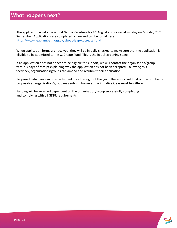The application window opens at 9am on Wednesday 4<sup>th</sup> August and closes at midday on Monday 20<sup>th</sup> September. Applications are completed online and can be found here: <https://www.leaplambeth.org.uk/about-leap/cocreate-fund>

When application forms are received, they will be initially checked to make sure that the application is eligible to be submitted to the CoCreate Fund. This is the initial screening stage.

If an application does not appear to be eligible for support, we will contact the organisation/group within 3 days of receipt explaining why the application has not been accepted. Following this feedback, organisations/groups can amend and resubmit their application.

Proposed initiatives can only be funded once throughout the year. There is no set limit on the number of proposals an organisation/group may submit, however the initiative ideas must be different.

Funding will be awarded dependent on the organisation/group successfully completing and complying with all GDPR requirements.

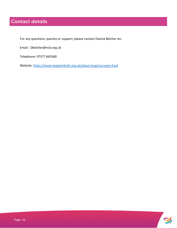## **Contact details**

For any questions, queries or support, please contact Davina Belcher on:

Email: Dbelcher@ncb.org.uk

Telephone: 07377 665580

Website:<https://www.leaplambeth.org.uk/about-leap/cocreate-fund>

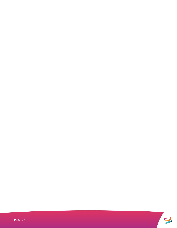